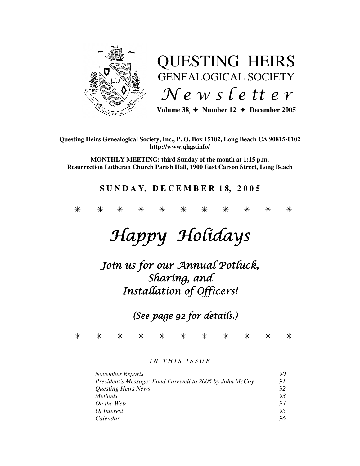

# QUESTING HEIRS GENEALOGICAL SOCIETY News letter

Volume  $38 \div \text{Number 12} \div \text{December 2005}$ 

#### **Questing Heirs Genealogical Society, Inc., P. O. Box 15102, Long Beach CA 90815-0102 http://www.qhgs.info/**

**MONTHLY MEETING: third Sunday of the month at 1:15 p.m. Resurrection Lutheran Church Parish Hall, 1900 East Carson Street, Long Beach** 

# **S U N D A Y, D E C E M B E R 1 8, 2 0 0 5**

\* \* \* \* \* \* \* \* \* \* \*

# Happy Holidays

# Join us for our Annual Potluck, Sharing, and Installation of Officers!

(See page 92 for details.)

\* \* \* \* \* \* \* \* \* \* \*

#### *I N T H I S I S S U E*

| November Reports                                         | 90 |
|----------------------------------------------------------|----|
| President's Message: Fond Farewell to 2005 by John McCoy | 91 |
| <b>Questing Heirs News</b>                               | 92 |
| <i>Methods</i>                                           | 93 |
| On the Web                                               | 94 |
| Of Interest                                              | 95 |
| Calendar                                                 | 96 |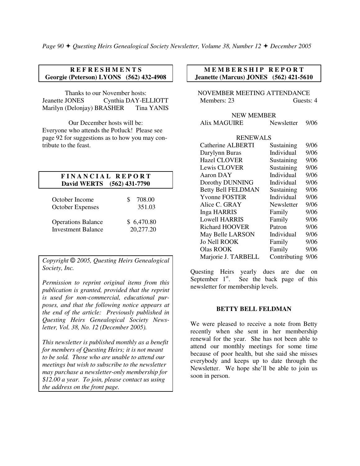#### **R E F R E S H M E N T S Georgie (Peterson) LYONS (562) 432-4908**

Thanks to our November hosts: Jeanette JONES Cynthia DAY-ELLIOTT Marilyn (Delonjay) BRASHER Tina YANIS

Our December hosts will be: Everyone who attends the Potluck! Please see page 92 for suggestions as to how you may contribute to the feast.

#### **F I N A N C I A L R E P O R T David WERTS (562) 431-7790**

| October Income            | 708.00     |
|---------------------------|------------|
| <b>October Expenses</b>   | 351.03     |
| <b>Operations Balance</b> | \$6,470.80 |
| <b>Investment Balance</b> | 20,277.20  |

*Copyright* © *2005, Questing Heirs Genealogical Society, Inc.* 

*Permission to reprint original items from this publication is granted, provided that the reprint is used for non-commercial, educational purposes, and that the following notice appears at the end of the article: Previously published in Questing Heirs Genealogical Society Newsletter, Vol. 38, No. 12 (December 2005).* 

*This newsletter is published monthly as a benefit for members of Questing Heirs; it is not meant to be sold. Those who are unable to attend our meetings but wish to subscribe to the newsletter may purchase a newsletter-only membership for \$12.00 a year. To join, please contact us using the address on the front page.* 

#### **MEMBERSHIP REPORT Jeanette (Marcus) JONES (562) 421-5610**

NOVEMBER MEETING ATTENDANCE Members: 23 Guests: 4

NEW MEMBER Alix MAGUIRE Newsletter 9/06

#### RENEWALS

| <b>Catherine ALBERTI</b>  | Sustaining   | 9/06 |
|---------------------------|--------------|------|
| Darylynn Buras            | Individual   | 9/06 |
| <b>Hazel CLOVER</b>       | Sustaining   | 9/06 |
| Lewis CLOVER              | Sustaining   | 9/06 |
| Aaron DAY                 | Individual   | 9/06 |
| Dorothy DUNNING           | Individual   | 9/06 |
| <b>Betty Bell FELDMAN</b> | Sustaining   | 9/06 |
| <b>Yvonne FOSTER</b>      | Individual   | 9/06 |
| Alice C. GRAY             | Newsletter   | 9/06 |
| <b>Inga HARRIS</b>        | Family       | 9/06 |
| <b>Lowell HARRIS</b>      | Family       | 9/06 |
| <b>Richard HOOVER</b>     | Patron       | 9/06 |
| May Belle LARSON          | Individual   | 9/06 |
| <b>Jo Nell ROOK</b>       | Family       | 9/06 |
| <b>Olas ROOK</b>          | Family       | 9/06 |
| Marjorie J. TARBELL       | Contributing | 9/06 |
|                           |              |      |

Questing Heirs yearly dues are due on September  $1<sup>st</sup>$ . See the back page of this newsletter for membership levels.

#### **BETTY BELL FELDMAN**

We were pleased to receive a note from Betty recently when she sent in her membership renewal for the year. She has not been able to attend our monthly meetings for some time because of poor health, but she said she misses everybody and keeps up to date through the Newsletter. We hope she'll be able to join us soon in person.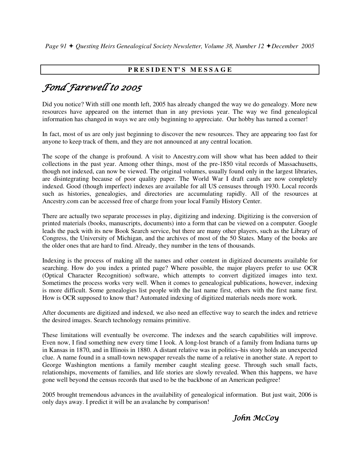### **P R E S I D E N T' S M E S S A G E**

# Fond Farewell to 2005

Did you notice? With still one month left, 2005 has already changed the way we do genealogy. More new resources have appeared on the internet than in any previous year. The way we find genealogical information has changed in ways we are only beginning to appreciate. Our hobby has turned a corner!

In fact, most of us are only just beginning to discover the new resources. They are appearing too fast for anyone to keep track of them, and they are not announced at any central location.

The scope of the change is profound. A visit to Ancestry.com will show what has been added to their collections in the past year. Among other things, most of the pre-1850 vital records of Massachusetts, though not indexed, can now be viewed. The original volumes, usually found only in the largest libraries, are disintegrating because of poor quality paper. The World War I draft cards are now completely indexed. Good (though imperfect) indexes are available for all US censuses through 1930. Local records such as histories, genealogies, and directories are accumulating rapidly. All of the resources at Ancestry.com can be accessed free of charge from your local Family History Center.

There are actually two separate processes in play, digitizing and indexing. Digitizing is the conversion of printed materials (books, manuscripts, documents) into a form that can be viewed on a computer. Google leads the pack with its new Book Search service, but there are many other players, such as the Library of Congress, the University of Michigan, and the archives of most of the 50 States. Many of the books are the older ones that are hard to find. Already, they number in the tens of thousands.

Indexing is the process of making all the names and other content in digitized documents available for searching. How do you index a printed page? Where possible, the major players prefer to use OCR (Optical Character Recognition) software, which attempts to convert digitized images into text. Sometimes the process works very well. When it comes to genealogical publications, however, indexing is more difficult. Some genealogies list people with the last name first, others with the first name first. How is OCR supposed to know that? Automated indexing of digitized materials needs more work.

After documents are digitized and indexed, we also need an effective way to search the index and retrieve the desired images. Search technology remains primitive.

These limitations will eventually be overcome. The indexes and the search capabilities will improve. Even now, I find something new every time I look. A long-lost branch of a family from Indiana turns up in Kansas in 1870, and in Illinois in 1880. A distant relative was in politics–his story holds an unexpected clue. A name found in a small-town newspaper reveals the name of a relative in another state. A report to George Washington mentions a family member caught stealing geese. Through such small facts, relationships, movements of families, and life stories are slowly revealed. When this happens, we have gone well beyond the census records that used to be the backbone of an American pedigree!

2005 brought tremendous advances in the availability of genealogical information. But just wait, 2006 is only days away. I predict it will be an avalanche by comparison!

# John McCoy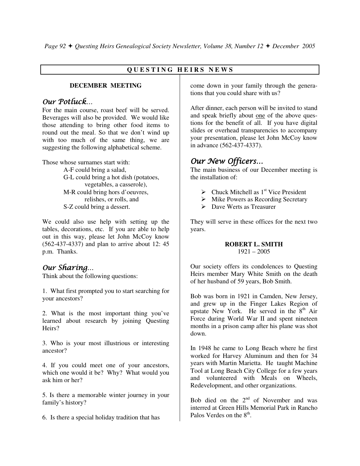## **Q U E S T I N G H E I R S N E W S**

#### **DECEMBER MEETING**

## Our Potluck…

For the main course, roast beef will be served. Beverages will also be provided. We would like those attending to bring other food items to round out the meal. So that we don't wind up with too much of the same thing, we are suggesting the following alphabetical scheme.

Those whose surnames start with:

 A-F could bring a salad, G-L could bring a hot dish (potatoes, vegetables, a casserole), M-R could bring hors d'oeuvres, relishes, or rolls, and S-Z could bring a dessert.

We could also use help with setting up the tables, decorations, etc. If you are able to help out in this way, please let John McCoy know (562-437-4337) and plan to arrive about 12: 45 p.m. Thanks.

## Our Sharing…

Think about the following questions:

1. What first prompted you to start searching for your ancestors?

2. What is the most important thing you've learned about research by joining Questing Heirs?

3. Who is your most illustrious or interesting ancestor?

4. If you could meet one of your ancestors, which one would it be? Why? What would you ask him or her?

5. Is there a memorable winter journey in your family's history?

6. Is there a special holiday tradition that has

come down in your family through the generations that you could share with us?

After dinner, each person will be invited to stand and speak briefly about one of the above questions for the benefit of all. If you have digital slides or overhead transparencies to accompany your presentation, please let John McCoy know in advance (562-437-4337).

# Our New Officers…

The main business of our December meeting is the installation of:

- $\triangleright$  Chuck Mitchell as 1<sup>st</sup> Vice President
- > Mike Powers as Recording Secretary
- Dave Werts as Treasurer

They will serve in these offices for the next two years.

#### **ROBERT L. SMITH**  1921 – 2005

Our society offers its condolences to Questing Heirs member Mary White Smith on the death of her husband of 59 years, Bob Smith.

Bob was born in 1921 in Camden, New Jersey, and grew up in the Finger Lakes Region of upstate New York. He served in the  $8<sup>th</sup>$  Air Force during World War II and spent nineteen months in a prison camp after his plane was shot down.

In 1948 he came to Long Beach where he first worked for Harvey Aluminum and then for 34 years with Martin Marietta. He taught Machine Tool at Long Beach City College for a few years and volunteered with Meals on Wheels, Redevelopment, and other organizations.

Bob died on the  $2<sup>nd</sup>$  of November and was interred at Green Hills Memorial Park in Rancho Palos Verdes on the  $8<sup>th</sup>$ .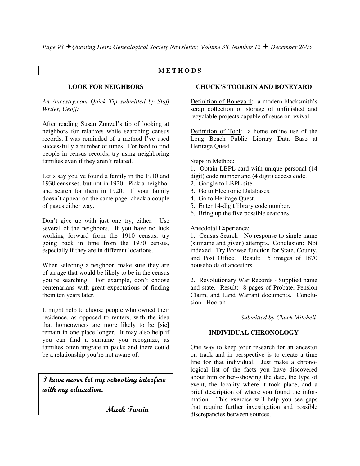#### **M E T H O D S**

#### **LOOK FOR NEIGHBORS**

*An Ancestry.com Quick Tip submitted by Staff Writer, Geoff:* 

After reading Susan Zmrzel's tip of looking at neighbors for relatives while searching census records, I was reminded of a method I've used successfully a number of times. For hard to find people in census records, try using neighboring families even if they aren't related.

Let's say you've found a family in the 1910 and 1930 censuses, but not in 1920. Pick a neighbor and search for them in 1920. If your family doesn't appear on the same page, check a couple of pages either way.

Don't give up with just one try, either. Use several of the neighbors. If you have no luck working forward from the 1910 census, try going back in time from the 1930 census, especially if they are in different locations.

When selecting a neighbor, make sure they are of an age that would be likely to be in the census you're searching. For example, don't choose centenarians with great expectations of finding them ten years later.

It might help to choose people who owned their residence, as opposed to renters, with the idea that homeowners are more likely to be [sic] remain in one place longer. It may also help if you can find a surname you recognize, as families often migrate in packs and there could be a relationship you're not aware of.

I have never let my schooling interfere with my education.

Mark Twain

#### **CHUCK'S TOOLBIN AND BONEYARD**

Definition of Boneyard: a modern blacksmith's scrap collection or storage of unfinished and recyclable projects capable of reuse or revival.

Definition of Tool: a home online use of the Long Beach Public Library Data Base at Heritage Quest.

#### Steps in Method:

1. Obtain LBPL card with unique personal (14 digit) code number and (4 digit) access code.

- 2. Google to LBPL site.
- 3. Go to Electronic Databases.
- 4. Go to Heritage Quest.
- 5. Enter 14-digit library code number.
- 6. Bring up the five possible searches.

#### Anecdotal Experience:

1. Census Search - No response to single name (surname and given) attempts. Conclusion: Not indexed. Try Browse function for State, County, and Post Office. Result: 5 images of 1870 households of ancestors.

2. Revolutionary War Records - Supplied name and state. Result: 8 pages of Probate, Pension Claim, and Land Warrant documents. Conclusion: Hoorah!

 *Submitted by Chuck Mitchell* 

#### **INDIVIDUAL CHRONOLOGY**

One way to keep your research for an ancestor on track and in perspective is to create a time line for that individual. Just make a chronological list of the facts you have discovered about him or her--showing the date, the type of event, the locality where it took place, and a brief description of where you found the information. This exercise will help you see gaps that require further investigation and possible discrepancies between sources.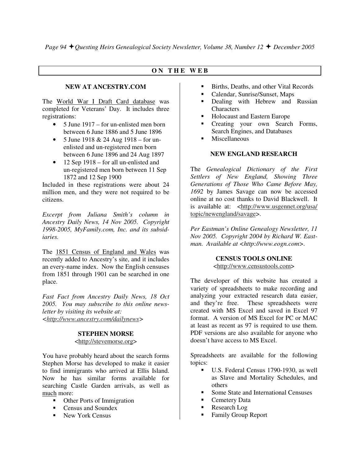#### **O N T H E W E B**

#### **NEW AT ANCESTRY.COM**

The World War I Draft Card database was completed for Veterans' Day. It includes three registrations:

- 5 June 1917 for un-enlisted men born between 6 June 1886 and 5 June 1896
- 5 June 1918  $& 24$  Aug 1918 for unenlisted and un-registered men born between 6 June 1896 and 24 Aug 1897
- 12 Sep 1918 for all un-enlisted and un-registered men born between 11 Sep 1872 and 12 Sep 1900

Included in these registrations were about 24 million men, and they were not required to be citizens.

*Excerpt from Juliana Smith's column in Ancestry Daily News, 14 Nov 2005. Copyright 1998-2005, MyFamily.com, Inc. and its subsidiaries.* 

The 1851 Census of England and Wales was recently added to Ancestry's site, and it includes an every-name index. Now the English censuses from 1851 through 1901 can be searched in one place.

*Fast Fact from Ancestry Daily News, 18 Oct 2005. You may subscribe to this online newsletter by visiting its website at: <http://www.ancestry.com/dailynews>* 

#### **STEPHEN MORSE**

<http://stevemorse.org>

You have probably heard about the search forms Stephen Morse has developed to make it easier to find immigrants who arrived at Ellis Island. Now he has similar forms available for searching Castle Garden arrivals, as well as much more:

- **-** Other Ports of Immigration
- Census and Soundex
- New York Census
- -Births, Deaths, and other Vital Records
- -Calendar, Sunrise/Sunset, Maps
- - Dealing with Hebrew and Russian **Characters**
- -Holocaust and Eastern Europe
- - Creating your own Search Forms, Search Engines, and Databases
- -**Miscellaneous**

#### **NEW ENGLAND RESEARCH**

The *Genealogical Dictionary of the First Settlers of New England, Showing Three Generations of Those Who Came Before May, 1692* by James Savage can now be accessed online at no cost thanks to David Blackwell. It is available at: <http://www.usgennet.org/usa/ topic/newengland/savage>.

*Per Eastman's Online Genealogy Newsletter, 11 Nov 2005. Copyright 2004 by Richard W. Eastman. Available at <http://www.eogn.com>.* 

#### **CENSUS TOOLS ONLINE**

<http://www.censustools.com>

The developer of this website has created a variety of spreadsheets to make recording and analyzing your extracted research data easier, and they're free. These spreadsheets were created with MS Excel and saved in Excel 97 format. A version of MS Excel for PC or MAC at least as recent as 97 is required to use them. PDF versions are also available for anyone who doesn't have access to MS Excel.

Spreadsheets are available for the following topics:

- U.S. Federal Census 1790-1930, as well as Slave and Mortality Schedules, and others
- -Some State and International Censuses
- -Cemetery Data
- -Research Log
- -Family Group Report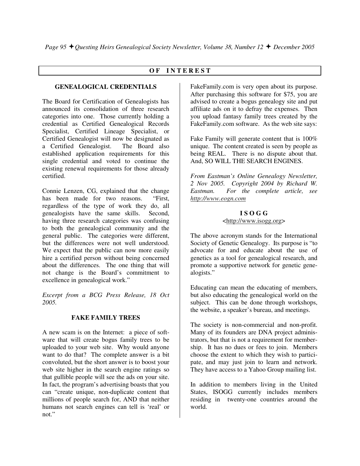#### **O F I N T E R E S T**

#### **GENEALOGICAL CREDENTIALS**

The Board for Certification of Genealogists has announced its consolidation of three research categories into one. Those currently holding a credential as Certified Genealogical Records Specialist, Certified Lineage Specialist, or Certified Genealogist will now be designated as a Certified Genealogist. The Board also established application requirements for this single credential and voted to continue the existing renewal requirements for those already certified.

Connie Lenzen, CG, explained that the change has been made for two reasons. "First, regardless of the type of work they do, all genealogists have the same skills. Second, having three research categories was confusing to both the genealogical community and the general public. The categories were different, but the differences were not well understood. We expect that the public can now more easily hire a certified person without being concerned about the differences. The one thing that will not change is the Board's commitment to excellence in genealogical work."

*Excerpt from a BCG Press Release, 18 Oct 2005.* 

#### **FAKE FAMILY TREES**

A new scam is on the Internet: a piece of software that will create bogus family trees to be uploaded to your web site. Why would anyone want to do that? The complete answer is a bit convoluted, but the short answer is to boost your web site higher in the search engine ratings so that gullible people will see the ads on your site. In fact, the program's advertising boasts that you can "create unique, non-duplicate content that millions of people search for, AND that neither humans not search engines can tell is 'real' or not."

FakeFamily.com is very open about its purpose. After purchasing this software for \$75, you are advised to create a bogus genealogy site and put affiliate ads on it to defray the expenses. Then you upload fantasy family trees created by the FakeFamily.com software. As the web site says:

Fake Family will generate content that is 100% unique. The content created is seen by people as being REAL. There is no dispute about that. And, SO WILL THE SEARCH ENGINES.

*From Eastman's Online Genealogy Newsletter, 2 Nov 2005. Copyright 2004 by Richard W. Eastman. For the complete article, see http://www.eogn.com*

#### **I S O G G**

#### <http://www.isogg.org>

The above acronym stands for the International Society of Genetic Genealogy. Its purpose is "to advocate for and educate about the use of genetics as a tool for genealogical research, and promote a supportive network for genetic genealogists."

Educating can mean the educating of members, but also educating the genealogical world on the subject. This can be done through workshops, the website, a speaker's bureau, and meetings.

The society is non-commercial and non-profit. Many of its founders are DNA project administrators, but that is not a requirement for membership. It has no dues or fees to join. Members choose the extent to which they wish to participate, and may just join to learn and network. They have access to a Yahoo Group mailing list.

In addition to members living in the United States, ISOGG currently includes members residing in twenty-one countries around the world.